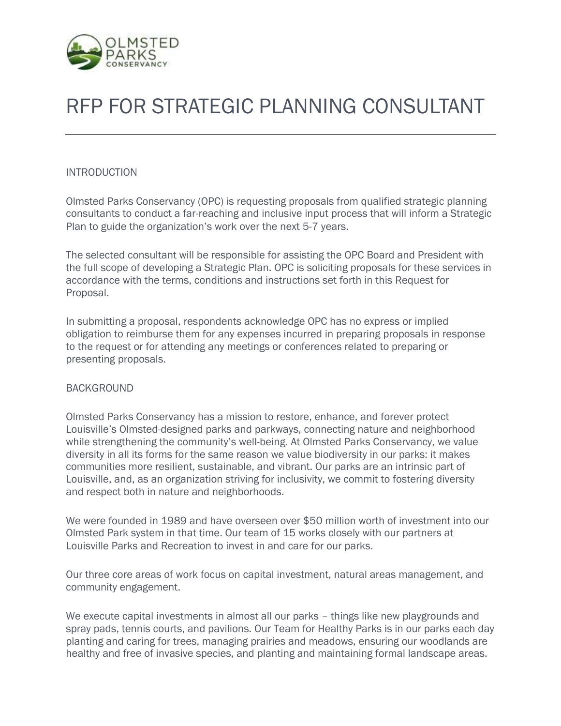

# RFP FOR STRATEGIC PLANNING CONSULTANT

#### INTRODUCTION

Olmsted Parks Conservancy (OPC) is requesting proposals from qualified strategic planning consultants to conduct a far-reaching and inclusive input process that will inform a Strategic Plan to guide the organization's work over the next 5-7 years.

The selected consultant will be responsible for assisting the OPC Board and President with the full scope of developing a Strategic Plan. OPC is soliciting proposals for these services in accordance with the terms, conditions and instructions set forth in this Request for Proposal.

In submitting a proposal, respondents acknowledge OPC has no express or implied obligation to reimburse them for any expenses incurred in preparing proposals in response to the request or for attending any meetings or conferences related to preparing or presenting proposals.

#### BACKGROUND

Olmsted Parks Conservancy has a mission to restore, enhance, and forever protect Louisville's Olmsted-designed parks and parkways, connecting nature and neighborhood while strengthening the community's well-being. At Olmsted Parks Conservancy, we value diversity in all its forms for the same reason we value biodiversity in our parks: it makes communities more resilient, sustainable, and vibrant. Our parks are an intrinsic part of Louisville, and, as an organization striving for inclusivity, we commit to fostering diversity and respect both in nature and neighborhoods.

We were founded in 1989 and have overseen over \$50 million worth of investment into our Olmsted Park system in that time. Our team of 15 works closely with our partners at Louisville Parks and Recreation to invest in and care for our parks.

Our three core areas of work focus on capital investment, natural areas management, and community engagement.

We execute capital investments in almost all our parks – things like new playgrounds and spray pads, tennis courts, and pavilions. Our Team for Healthy Parks is in our parks each day planting and caring for trees, managing prairies and meadows, ensuring our woodlands are healthy and free of invasive species, and planting and maintaining formal landscape areas.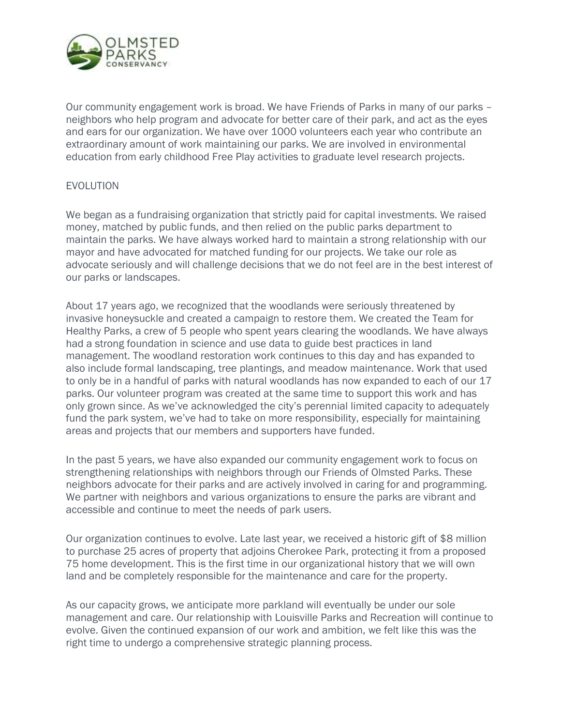

Our community engagement work is broad. We have Friends of Parks in many of our parks – neighbors who help program and advocate for better care of their park, and act as the eyes and ears for our organization. We have over 1000 volunteers each year who contribute an extraordinary amount of work maintaining our parks. We are involved in environmental education from early childhood Free Play activities to graduate level research projects.

#### EVOLUTION

We began as a fundraising organization that strictly paid for capital investments. We raised money, matched by public funds, and then relied on the public parks department to maintain the parks. We have always worked hard to maintain a strong relationship with our mayor and have advocated for matched funding for our projects. We take our role as advocate seriously and will challenge decisions that we do not feel are in the best interest of our parks or landscapes.

About 17 years ago, we recognized that the woodlands were seriously threatened by invasive honeysuckle and created a campaign to restore them. We created the Team for Healthy Parks, a crew of 5 people who spent years clearing the woodlands. We have always had a strong foundation in science and use data to guide best practices in land management. The woodland restoration work continues to this day and has expanded to also include formal landscaping, tree plantings, and meadow maintenance. Work that used to only be in a handful of parks with natural woodlands has now expanded to each of our 17 parks. Our volunteer program was created at the same time to support this work and has only grown since. As we've acknowledged the city's perennial limited capacity to adequately fund the park system, we've had to take on more responsibility, especially for maintaining areas and projects that our members and supporters have funded.

In the past 5 years, we have also expanded our community engagement work to focus on strengthening relationships with neighbors through our Friends of Olmsted Parks. These neighbors advocate for their parks and are actively involved in caring for and programming. We partner with neighbors and various organizations to ensure the parks are vibrant and accessible and continue to meet the needs of park users.

Our organization continues to evolve. Late last year, we received a historic gift of \$8 million to purchase 25 acres of property that adjoins Cherokee Park, protecting it from a proposed 75 home development. This is the first time in our organizational history that we will own land and be completely responsible for the maintenance and care for the property.

As our capacity grows, we anticipate more parkland will eventually be under our sole management and care. Our relationship with Louisville Parks and Recreation will continue to evolve. Given the continued expansion of our work and ambition, we felt like this was the right time to undergo a comprehensive strategic planning process.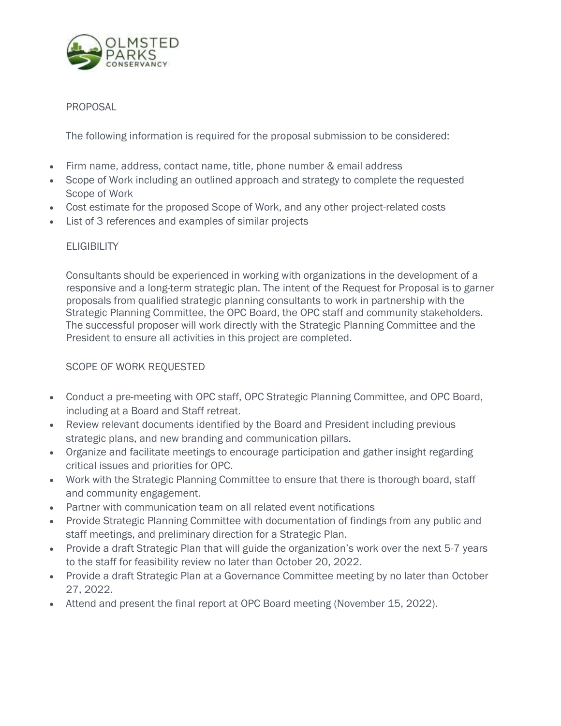

## PROPOSAL

The following information is required for the proposal submission to be considered:

- Firm name, address, contact name, title, phone number & email address
- Scope of Work including an outlined approach and strategy to complete the requested Scope of Work
- Cost estimate for the proposed Scope of Work, and any other project-related costs
- List of 3 references and examples of similar projects

### **ELIGIBILITY**

Consultants should be experienced in working with organizations in the development of a responsive and a long-term strategic plan. The intent of the Request for Proposal is to garner proposals from qualified strategic planning consultants to work in partnership with the Strategic Planning Committee, the OPC Board, the OPC staff and community stakeholders. The successful proposer will work directly with the Strategic Planning Committee and the President to ensure all activities in this project are completed.

## SCOPE OF WORK REQUESTED

- Conduct a pre-meeting with OPC staff, OPC Strategic Planning Committee, and OPC Board, including at a Board and Staff retreat.
- Review relevant documents identified by the Board and President including previous strategic plans, and new branding and communication pillars.
- Organize and facilitate meetings to encourage participation and gather insight regarding critical issues and priorities for OPC.
- Work with the Strategic Planning Committee to ensure that there is thorough board, staff and community engagement.
- Partner with communication team on all related event notifications
- Provide Strategic Planning Committee with documentation of findings from any public and staff meetings, and preliminary direction for a Strategic Plan.
- Provide a draft Strategic Plan that will guide the organization's work over the next 5-7 years to the staff for feasibility review no later than October 20, 2022.
- Provide a draft Strategic Plan at a Governance Committee meeting by no later than October 27, 2022.
- Attend and present the final report at OPC Board meeting (November 15, 2022).